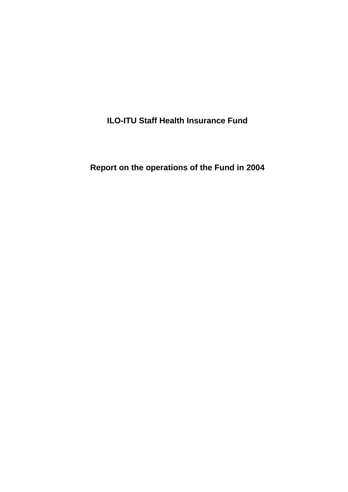**ILO-ITU Staff Health Insurance Fund** 

**Report on the operations of the Fund in 2004**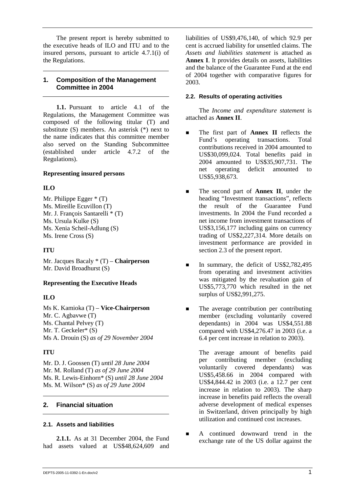The present report is hereby submitted to the executive heads of ILO and ITU and to the insured persons, pursuant to article 4.7.1(i) of the Regulations.

## **1. Composition of the Management Committee in 2004**

**1.1.** Pursuant to article 4.1 of the Regulations, the Management Committee was composed of the following titular (T) and substitute (S) members. An asterisk (\*) next to the name indicates that this committee member also served on the Standing Subcommittee (established under article 4.7.2 of the Regulations).

# **Representing insured persons**

# **ILO**

Mr. Philippe Egger \* (T) Ms. Mireille Ecuvillon (T) Mr. J. François Santarelli \* (T) Ms. Ursula Kulke (S) Ms. Xenia Scheil-Adlung (S) Ms. Irene Cross (S)

# **ITU**

Mr. Jacques Bacaly \* (T) – **Chairperson** Mr. David Broadhurst (S)

# **Representing the Executive Heads**

# **ILO**

Ms K. Kamioka (T) – **Vice-Chairperson** Mr. C. Agbavwe (T) Ms. Chantal Pelvey (T) Mr. T. Geckeler\* (S) Ms A. Drouin (S) *as of 29 November 2004*

# **ITU**

Mr. D. J. Goossen (T) *until 28 June 2004* Mr. M. Rolland (T) *as of 29 June 2004* Ms. R. Lewis-Einhorn\* (S) *until 28 June 2004* Ms. M. Wilson\* (S) *as of 29 June 2004*

# **2. Financial situation**

# **2.1. Assets and liabilities**

**2.1.1.** As at 31 December 2004, the Fund had assets valued at US\$48,624,609 and

liabilities of US\$9,476,140, of which 92.9 per cent is accrued liability for unsettled claims. The *Assets and liabilities statement* is attached as **Annex I**. It provides details on assets, liabilities and the balance of the Guarantee Fund at the end of 2004 together with comparative figures for 2003.

## **2.2. Results of operating activities**

The *Income and expenditure statement* is attached as **Annex II**.

- The first part of **Annex II** reflects the Fund's operating transactions. Total contributions received in 2004 amounted to US\$30,099,024. Total benefits paid in 2004 amounted to US\$35,907,731. The net operating deficit amounted to US\$5,938,673.
- ! The second part of **Annex II**, under the heading "Investment transactions", reflects the result of the Guarantee Fund investments. In 2004 the Fund recorded a net income from investment transactions of US\$3,156,177 including gains on currency trading of US\$2,227,314. More details on investment performance are provided in section 2.3 of the present report.
- In summary, the deficit of US\$2,782,495 from operating and investment activities was mitigated by the revaluation gain of US\$5,773,770 which resulted in the net surplus of US\$2,991,275.
- The average contribution per contributing member (excluding voluntarily covered dependants) in 2004 was US\$4,551.88 compared with US\$4,276.47 in 2003 (i.e. a 6.4 per cent increase in relation to 2003).

 The average amount of benefits paid per contributing member (excluding voluntarily covered dependants) was US\$5,458.66 in 2004 compared with US\$4,844.42 in 2003 (i.e. a 12.7 per cent increase in relation to 2003). The sharp increase in benefits paid reflects the overall adverse development of medical expenses in Switzerland, driven principally by high utilization and continued cost increases.

**EXECUTE:** A continued downward trend in the exchange rate of the US dollar against the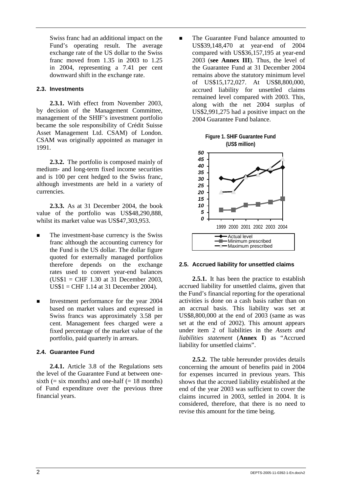Swiss franc had an additional impact on the Fund's operating result. The average exchange rate of the US dollar to the Swiss franc moved from 1.35 in 2003 to 1.25 in 2004, representing a 7.41 per cent downward shift in the exchange rate.

## **2.3. Investments**

**2.3.1.** With effect from November 2003, by decision of the Management Committee, management of the SHIF's investment portfolio became the sole responsibility of Crédit Suisse Asset Management Ltd. CSAM) of London. CSAM was originally appointed as manager in 1991.

**2.3.2.** The portfolio is composed mainly of medium- and long-term fixed income securities and is 100 per cent hedged to the Swiss franc, although investments are held in a variety of currencies.

**2.3.3.** As at 31 December 2004, the book value of the portfolio was US\$48,290,888, whilst its market value was US\$47,303,953.

- The investment-base currency is the Swiss franc although the accounting currency for the Fund is the US dollar. The dollar figure quoted for externally managed portfolios therefore depends on the exchange rates used to convert year-end balances (US\$1 = CHF 1.30 at 31 December 2003, US\$1 = CHF 1.14 at 31 December 2004).
- ! Investment performance for the year 2004 based on market values and expressed in Swiss francs was approximately 3.58 per cent. Management fees charged were a fixed percentage of the market value of the portfolio, paid quarterly in arrears.

# **2.4. Guarantee Fund**

**2.4.1.** Article 3.8 of the Regulations sets the level of the Guarantee Fund at between onesixth ( $=$  six months) and one-half ( $= 18$  months) of Fund expenditure over the previous three financial years.

■ The Guarantee Fund balance amounted to US\$39,148,470 at year-end of 2004 compared with US\$36,157,195 at year-end 2003 (**see Annex III**). Thus, the level of the Guarantee Fund at 31 December 2004 remains above the statutory minimum level of US\$15,172,027. At US\$8,800,000, accrued liability for unsettled claims remained level compared with 2003. This, along with the net 2004 surplus of US\$2,991,275 had a positive impact on the 2004 Guarantee Fund balance.



## **2.5. Accrued liability for unsettled claims**

**2.5.1.** It has been the practice to establish accrued liability for unsettled claims, given that the Fund's financial reporting for the operational activities is done on a cash basis rather than on an accrual basis. This liability was set at US\$8,800,000 at the end of 2003 (same as was set at the end of 2002). This amount appears under item 2 of liabilities in the *Assets and liabilities statement* (**Annex I**) as "Accrued liability for unsettled claims".

**2.5.2.** The table hereunder provides details concerning the amount of benefits paid in 2004 for expenses incurred in previous years. This shows that the accrued liability established at the end of the year 2003 was sufficient to cover the claims incurred in 2003, settled in 2004. It is considered, therefore, that there is no need to revise this amount for the time being.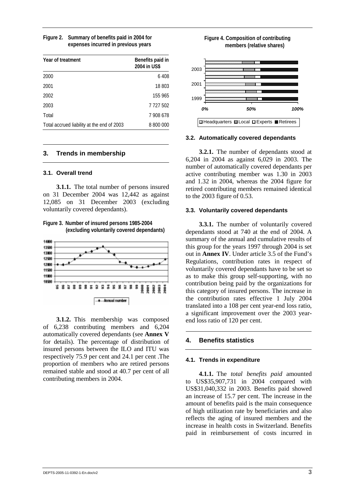| Figure 2. Summary of benefits paid in 2004 for |
|------------------------------------------------|
| expenses incurred in previous years            |

| Year of treatment                          | Benefits paid in<br>2004 in US\$ |
|--------------------------------------------|----------------------------------|
| 2000                                       | 6408                             |
| 2001                                       | 18 803                           |
| 2002                                       | 155 965                          |
| 2003                                       | 7 727 502                        |
| Total                                      | 7 908 678                        |
| Total accrued liability at the end of 2003 | 8 800 000                        |

## **3. Trends in membership**

### **3.1. Overall trend**

**3.1.1.** The total number of persons insured on 31 December 2004 was 12,442 as against 12,085 on 31 December 2003 (excluding voluntarily covered dependants).

**Figure 3. Number of insured persons 1985-2004 (excluding voluntarily covered dependants)** 



**3.1.2.** This membership was composed of 6,238 contributing members and 6,204 automatically covered dependants (see **Annex V** for details). The percentage of distribution of insured persons between the ILO and ITU was respectively 75.9 per cent and 24.1 per cent .The proportion of members who are retired persons remained stable and stood at 40.7 per cent of all contributing members in 2004.



### **3.2. Automatically covered dependants**

**3.2.1.** The number of dependants stood at 6,204 in 2004 as against 6,029 in 2003. The number of automatically covered dependants per active contributing member was 1.30 in 2003 and 1.32 in 2004, whereas the 2004 figure for retired contributing members remained identical to the 2003 figure of 0.53.

## **3.3. Voluntarily covered dependants**

**3.3.1.** The number of voluntarily covered dependants stood at 740 at the end of 2004. A summary of the annual and cumulative results of this group for the years 1997 through 2004 is set out in **Annex IV**. Under article 3.5 of the Fund's Regulations, contribution rates in respect of voluntarily covered dependants have to be set so as to make this group self-supporting, with no contribution being paid by the organizations for this category of insured persons. The increase in the contribution rates effective 1 July 2004 translated into a 108 per cent year-end loss ratio, a significant improvement over the 2003 yearend loss ratio of 120 per cent.

## **4. Benefits statistics**

### **4.1. Trends in expenditure**

**4.1.1.** The *total benefits paid* amounted to US\$35,907,731 in 2004 compared with US\$31,040,332 in 2003. Benefits paid showed an increase of 15.7 per cent. The increase in the amount of benefits paid is the main consequence of high utilization rate by beneficiaries and also reflects the aging of insured members and the increase in health costs in Switzerland. Benefits paid in reimbursement of costs incurred in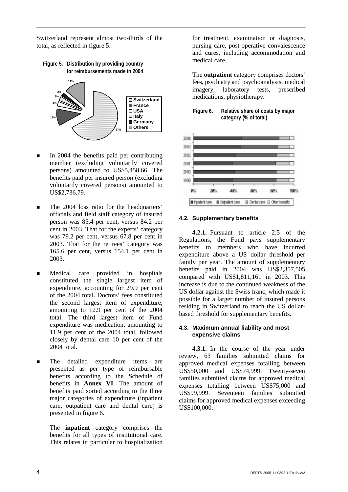Switzerland represent almost two-thirds of the total, as reflected in figure 5.

**Figure 5. Distribution by providing country for reimbursements made in 2004**



- In 2004 the benefits paid per contributing member (excluding voluntarily covered persons) amounted to US\$5,458.66. The benefits paid per insured person (excluding voluntarily covered persons) amounted to US\$2,736.79.
- **If The 2004 loss ratio for the headquarters'** officials and field staff category of insured person was 85.4 per cent, versus 84.2 per cent in 2003. That for the experts' category was 79.2 per cent, versus 67.8 per cent in 2003. That for the retirees' category was 165.6 per cent, versus 154.1 per cent in 2003.
- **In** Medical care provided in hospitals constituted the single largest item of expenditure, accounting for 29.9 per cent of the 2004 total. Doctors' fees constituted the second largest item of expenditure, amounting to 12.9 per cent of the 2004 total. The third largest item of Fund expenditure was medication, amounting to 11.9 per cent of the 2004 total, followed closely by dental care 10 per cent of the 2004 total.
- The detailed expenditure items are presented as per type of reimbursable benefits according to the Schedule of benefits in **Annex VI**. The amount of benefits paid sorted according to the three major categories of expenditure (inpatient care, outpatient care and dental care) is presented in figure 6.

 The **inpatient** category comprises the benefits for all types of institutional care. This relates in particular to hospitalization

for treatment, examination or diagnosis, nursing care, post-operative convalescence and cures, including accommodation and medical care.

 The **outpatient** category comprises doctors' fees, psychiatry and psychoanalysis, medical imagery, laboratory tests, prescribed medications, physiotherapy.





## **4.2. Supplementary benefits**

**4.2.1.** Pursuant to article 2.5 of the Regulations, the Fund pays supplementary benefits to members who have incurred expenditure above a US dollar threshold per family per year. The amount of supplementary benefits paid in 2004 was US\$2,357,505 compared with US\$1,811,161 in 2003. This increase is due to the continued weakness of the US dollar against the Swiss franc, which made it possible for a larger number of insured persons residing in Switzerland to reach the US dollarbased threshold for supplementary benefits.

## **4.3. Maximum annual liability and most expensive claims**

**4.3.1.** In the course of the year under review, 63 families submitted claims for approved medical expenses totalling between US\$50,000 and US\$74,999. Twenty-seven families submitted claims for approved medical expenses totalling between US\$75,000 and US\$99,999. Seventeen families submitted claims for approved medical expenses exceeding US\$100,000.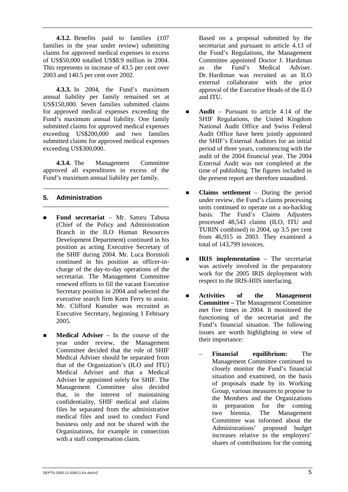**4.3.2.** Benefits paid to families (107 families in the year under review) submitting claims for approved medical expenses in excess of US\$50,000 totalled US\$8.9 million in 2004. This represents in increase of 43.5 per cent over 2003 and 140.5 per cent over 2002.

**4.3.3.** In 2004, the Fund's maximum annual liability per family remained set at US\$150,000. Seven families submitted claims for approved medical expenses exceeding the Fund's maximum annual liability. One family submitted claims for approved medical expenses exceeding US\$200,000 and two families submitted claims for approved medical expenses exceeding US\$300,000.

**4.3.4.** The Management Committee approved all expenditures in excess of the Fund's maximum annual liability per family.

# **5. Administration**

- ! **Fund secretariat** Mr. Satoru Tabusa (Chief of the Policy and Administration Branch in the ILO Human Resources Development Department) continued in his position as acting Executive Secretary of the SHIF during 2004. Mr. Luca Bormioli continued in his position as officer-incharge of the day-to-day operations of the secretariat. The Management Committee renewed efforts to fill the vacant Executive Secretary position in 2004 and selected the executive search firm Korn Ferry to assist. Mr. Clifford Kunstler was recruited as Executive Secretary, beginning 1 February 2005.
- **Medical Adviser** In the course of the year under review, the Management Committee decided that the role of SHIF Medical Adviser should be separated from that of the Organization's (ILO and ITU) Medical Adviser and that a Medical Adviser be appointed solely for SHIF. The Management Committee also decided that, in the interest of maintaining confidentiality, SHIF medical and claims files be separated from the administrative medical files and used to conduct Fund business only and not be shared with the Organizations, for example in connection with a staff compensation claim.

 Based on a proposal submitted by the secretariat and pursuant to article 4.13 of the Fund's Regulations, the Management Committee appointed Doctor J. Hardiman as the Fund's Medical Adviser. Dr. Hardiman was recruited as an ILO external collaborator with the prior approval of the Executive Heads of the ILO and ITU.

- ! **Audit** Pursuant to article 4.14 of the SHIF Regulations, the United Kingdom National Audit Office and Swiss Federal Audit Office have been jointly appointed the SHIF's External Auditors for an initial period of three years, commencing with the audit of the 2004 financial year. The 2004 External Audit was not completed at the time of publishing. The figures included in the present report are therefore unaudited.
- **Example 1 Claims settlement** During the period under review, the Fund's claims processing units continued to operate on a no-backlog basis. The Fund's Claims Adjusters processed 48,543 claims (ILO, ITU and TURIN combined) in 2004, up 3.5 per cent from 46,915 in 2003. They examined a total of 143,799 invoices.
- ! **IRIS implementation** The secretariat was actively involved in the preparatory work for the 2005 IRIS deployment with respect to the IRIS-HIIS interfacing.
- ! **Activities of the Management Committee –** The Management Committee met five times in 2004. It monitored the functioning of the secretariat and the Fund's financial situation. The following issues are worth highlighting in view of their importance:
	- **Financial equilibrium:** The Management Committee continued to closely monitor the Fund's financial situation and examined, on the basis of proposals made by its Working Group, various measures to propose to the Members and the Organizations in preparation for the coming two biennia. The Management Committee was informed about the Administrations' proposed budget increases relative to the employers' shares of contributions for the coming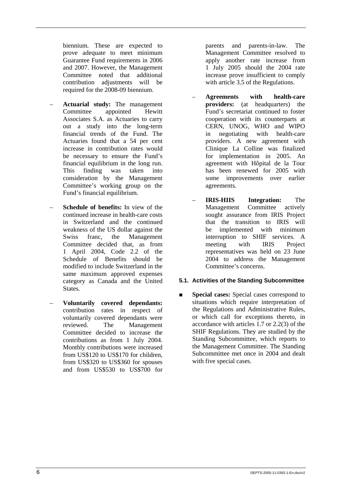biennium. These are expected to prove adequate to meet minimum Guarantee Fund requirements in 2006 and 2007. However, the Management Committee noted that additional contribution adjustments will be required for the 2008-09 biennium.

- **Actuarial study:** The management Committee appointed Hewitt Associates S.A. as Actuaries to carry out a study into the long-term financial trends of the Fund. The Actuaries found that a 54 per cent increase in contribution rates would be necessary to ensure the Fund's financial equilibrium in the long run. This finding was taken into consideration by the Management Committee's working group on the Fund's financial equilibrium.
- **Schedule of benefits:** In view of the continued increase in health-care costs in Switzerland and the continued weakness of the US dollar against the Swiss franc, the Management Committee decided that, as from 1 April 2004, Code 2.2 of the Schedule of Benefits should be modified to include Switzerland in the same maximum approved expenses category as Canada and the United States.
- **Voluntarily covered dependants:** contribution rates in respect of voluntarily covered dependants were reviewed. The Management Committee decided to increase the contributions as from 1 July 2004. Monthly contributions were increased from US\$120 to US\$170 for children, from US\$320 to US\$360 for spouses and from US\$530 to US\$700 for

parents and parents-in-law. The Management Committee resolved to apply another rate increase from 1 July 2005 should the 2004 rate increase prove insufficient to comply with article 3.5 of the Regulations.

- **Agreements with health-care providers:** (at headquarters) the Fund's secretariat continued to foster cooperation with its counterparts at CERN, UNOG, WHO and WIPO in negotiating with health-care providers. A new agreement with Clinique La Colline was finalized for implementation in 2005. An agreement with Hôpital de la Tour has been renewed for 2005 with some improvements over earlier agreements.
- **IRIS-HIIS Integration:** The Management Committee actively sought assurance from IRIS Project that the transition to IRIS will be implemented with minimum interruption to SHIF services. A meeting with IRIS Project representatives was held on 23 June 2004 to address the Management Committee's concerns.

# **5.1. Activities of the Standing Subcommittee**

**Exercise I Special cases:** Special cases correspond to situations which require interpretation of the Regulations and Administrative Rules, or which call for exceptions thereto, in accordance with articles 1.7 or 2.2(3) of the SHIF Regulations. They are studied by the Standing Subcommittee, which reports to the Management Committee. The Standing Subcommittee met once in 2004 and dealt with five special cases.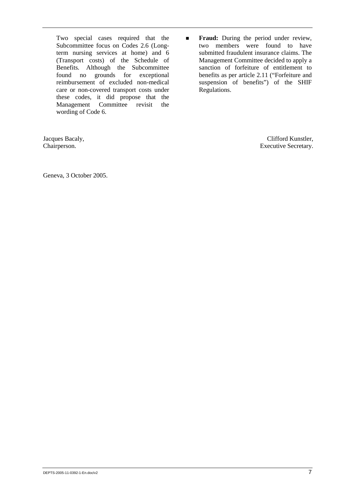Two special cases required that the Subcommittee focus on Codes 2.6 (Longterm nursing services at home) and 6 (Transport costs) of the Schedule of Benefits. Although the Subcommittee found no grounds for exceptional reimbursement of excluded non-medical care or non-covered transport costs under these codes, it did propose that the Management Committee revisit the wording of Code 6.

**Fraud:** During the period under review, two members were found to have submitted fraudulent insurance claims. The Management Committee decided to apply a sanction of forfeiture of entitlement to benefits as per article 2.11 ("Forfeiture and suspension of benefits") of the SHIF Regulations.

Jacques Bacaly, Chairperson.

Clifford Kunstler, Executive Secretary.

Geneva, 3 October 2005.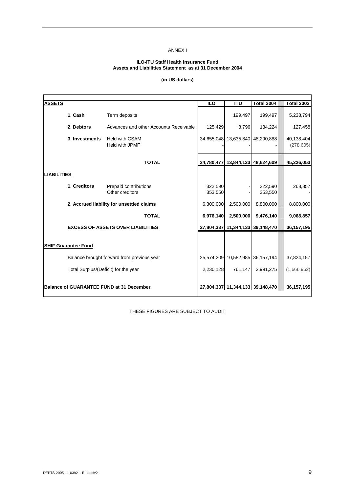## ANNEX I

### **ILO-ITU Staff Health Insurance Fund Assets and Liabilities Statement as at 31 December 2004**

## **(in US dollars)**

| <b>ASSETS</b>              |                                                 | <b>ILO</b>         | <b>ITU</b>            | <b>Total 2004</b>                | <b>Total 2003</b>        |
|----------------------------|-------------------------------------------------|--------------------|-----------------------|----------------------------------|--------------------------|
| 1. Cash                    | Term deposits                                   |                    | 199,497               | 199,497                          | 5,238,794                |
| 2. Debtors                 | Advances and other Accounts Receivable          | 125,429            | 8,796                 | 134,224                          | 127,458                  |
| 3. Investments             | <b>Held with CSAM</b><br>Held with JPMF         |                    | 34,655,048 13,635,840 | 48,290,888                       | 40,138,404<br>(278, 605) |
|                            | <b>TOTAL</b>                                    |                    |                       | 34,780,477 13,844,133 48,624,609 | 45,226,053               |
| <b>LIABILITIES</b>         |                                                 |                    |                       |                                  |                          |
| 1. Creditors               | Prepaid contributions<br>Other creditors        | 322,590<br>353,550 |                       | 322,590<br>353,550               | 268,857                  |
|                            | 2. Accrued liability for unsettled claims       | 6,300,000          | 2,500,000             | 8,800,000                        | 8,800,000                |
|                            | <b>TOTAL</b>                                    | 6,976,140          | 2,500,000             | 9,476,140                        | 9,068,857                |
|                            | <b>EXCESS OF ASSETS OVER LIABILITIES</b>        |                    |                       | 27,804,337 11,344,133 39,148,470 | 36,157,195               |
| <b>SHIF Guarantee Fund</b> |                                                 |                    |                       |                                  |                          |
|                            | Balance brought forward from previous year      |                    |                       | 25,574,209 10,582,985 36,157,194 | 37,824,157               |
|                            | Total Surplus/(Deficit) for the year            | 2.230.128          | 761.147               | 2,991,275                        | (1,666,962)              |
|                            | <b>Balance of GUARANTEE FUND at 31 December</b> |                    |                       | 27,804,337 11,344,133 39,148,470 | 36, 157, 195             |

THESE FIGURES ARE SUBJECT TO AUDIT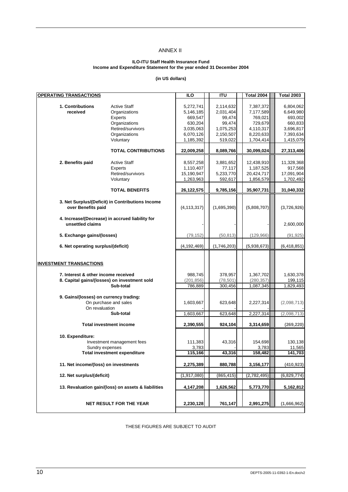## ANNEX II

### **ILO-ITU Staff Health Insurance Fund Income and Expenditure Statement for the year ended 31 December 2004**

### **(in US dollars)**

| <b>OPERATING TRANSACTIONS</b>                                                       |                                                                                                                     | $\overline{10}$                                                                     | <b>ITU</b>                                                                      | <b>Total 2004</b>                                                                   | <b>Total 2003</b>                                                                   |
|-------------------------------------------------------------------------------------|---------------------------------------------------------------------------------------------------------------------|-------------------------------------------------------------------------------------|---------------------------------------------------------------------------------|-------------------------------------------------------------------------------------|-------------------------------------------------------------------------------------|
| 1. Contributions<br>received                                                        | <b>Active Staff</b><br>Organizations<br>Experts<br>Organizations<br>Retired/survivors<br>Organizations<br>Voluntary | 5,272,741<br>5,146,185<br>669,547<br>630,204<br>3,035,063<br>6,070,126<br>1,185,392 | 2,114,632<br>2,031,404<br>99,474<br>99,474<br>1,075,253<br>2,150,507<br>519,022 | 7,387,372<br>7,177,589<br>769,021<br>729,679<br>4,110,317<br>8,220,633<br>1,704,414 | 6,804,062<br>6,649,980<br>693,002<br>660,833<br>3,696,817<br>7,393,634<br>1,415,079 |
|                                                                                     | <b>TOTAL CONTRIBUTIONS</b>                                                                                          | 22,009,258                                                                          | 8,089,766                                                                       | 30,099,024                                                                          | 27,313,406                                                                          |
| 2. Benefits paid                                                                    | <b>Active Staff</b><br>Experts<br>Retired/survivors<br>Voluntary                                                    | 8,557,258<br>1,110,407<br>15,190,947<br>1,263,963                                   | 3,881,652<br>77,117<br>5,233,770<br>592,617                                     | 12,438,910<br>1,187,525<br>20,424,717<br>1,856,579                                  | 11,328,368<br>917,568<br>17,091,904<br>1,702,492                                    |
|                                                                                     | <b>TOTAL BENEFITS</b>                                                                                               | 26,122,575                                                                          | 9,785,156                                                                       | 35,907,731                                                                          | 31,040,332                                                                          |
| 3. Net Surplus/(Deficit) in Contributions Income<br>over Benefits paid              |                                                                                                                     | (4, 113, 317)                                                                       | (1,695,390)                                                                     | (5,808,707)                                                                         | (3,726,926)                                                                         |
| 4. Increase/(Decrease) in accrued liability for<br>unsettled claims                 |                                                                                                                     |                                                                                     |                                                                                 |                                                                                     | 2,600,000                                                                           |
| 5. Exchange gains/(losses)                                                          |                                                                                                                     | (79, 152)                                                                           | (50, 813)                                                                       | (129, 966)                                                                          | (91, 925)                                                                           |
|                                                                                     | 6. Net operating surplus/(deficit)                                                                                  |                                                                                     | (1,746,203)                                                                     | (5,938,673)                                                                         | (6,418,851)                                                                         |
| <b>INVESTMENT TRANSACTIONS</b>                                                      |                                                                                                                     |                                                                                     |                                                                                 |                                                                                     |                                                                                     |
| 7. Interest & other income received<br>8. Capital gains/(losses) on investment sold | Sub-total                                                                                                           | 988,745<br>(201, 856)<br>786,889                                                    | 378,957<br>(78, 501)<br>300,456                                                 | 1,367,702<br>(280, 357)<br>1,087,345                                                | 1,630,378<br>199,115<br>1,829,493                                                   |
| 9. Gains/(losses) on currency trading:<br>On revaluation                            | On purchase and sales                                                                                               | 1,603,667                                                                           | 623,648                                                                         | 2,227,314                                                                           | (2,098,713)                                                                         |
|                                                                                     | Sub-total                                                                                                           | 1,603,667                                                                           | 623,648                                                                         | 2,227,314                                                                           | (2,098,713)                                                                         |
|                                                                                     | <b>Total investment income</b>                                                                                      | 2,390,555                                                                           | 924,104                                                                         | 3,314,659                                                                           | (269, 220)                                                                          |
| 10. Expenditure:<br>Sundry expenses                                                 | Investment management fees<br><b>Total investment expenditure</b>                                                   | 111,383<br>3,783<br>115,166                                                         | 43,316<br>43,316                                                                | 154,698<br>3,783<br>158,482                                                         | 130,138<br>11,565<br>141,703                                                        |
| 11. Net income/(loss) on investments                                                |                                                                                                                     | 2,275,389                                                                           | 880,788                                                                         | 3,156,177                                                                           | (410, 923)                                                                          |
| 12. Net surplus/(deficit)                                                           |                                                                                                                     | (1, 917, 080)                                                                       | (865, 415)                                                                      | (2,782,495)                                                                         | (6,829,774)                                                                         |
|                                                                                     | 13. Revaluation gain/(loss) on assets & liabilities                                                                 | 4,147,208                                                                           | 1,626,562                                                                       | 5,773,770                                                                           | 5,162,812                                                                           |
|                                                                                     | <b>NET RESULT FOR THE YEAR</b>                                                                                      | 2,230,128                                                                           | 761,147                                                                         | 2,991,275                                                                           | (1,666,962)                                                                         |

THESE FIGURES ARE SUBJECT TO AUDIT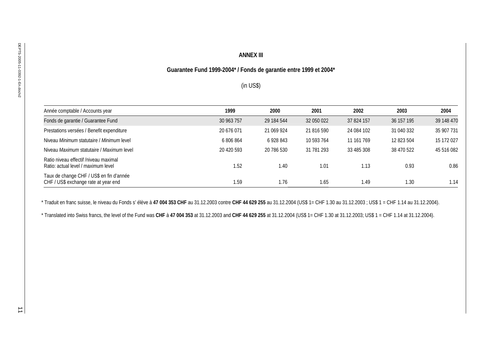| Année comptable / Accounts year                                                                                                                                                                                                                                                   | 1999       | 2000       | 2001       | 2002       | 2003       | 2004       |
|-----------------------------------------------------------------------------------------------------------------------------------------------------------------------------------------------------------------------------------------------------------------------------------|------------|------------|------------|------------|------------|------------|
| Fonds de garantie / Guarantee Fund                                                                                                                                                                                                                                                | 30 963 757 | 29 184 544 | 32 050 022 | 37 824 157 | 36 157 195 | 39 148 470 |
| Prestations versées / Benefit expenditure                                                                                                                                                                                                                                         | 20 676 071 | 21 069 924 | 21 816 590 | 24 084 102 | 31 040 332 | 35 907 731 |
| Niveau Minimum statutaire / Minimum level                                                                                                                                                                                                                                         | 6 806 864  | 6 928 843  | 10 593 764 | 11 161 769 | 12 823 504 | 15 172 027 |
| Niveau Maximum statutaire / Maximum level                                                                                                                                                                                                                                         | 20 420 593 | 20 786 530 | 31 781 293 | 33 485 308 | 38 470 522 | 45 516 082 |
| Ratio niveau effectif /niveau maximal<br>Ratio: actual level / maximum level                                                                                                                                                                                                      | 1.52       | 1.40       | 1.01       | 1.13       | 0.93       |            |
|                                                                                                                                                                                                                                                                                   |            |            |            |            |            |            |
| Taux de change CHF / US\$ en fin d'année<br>CHF / US\$ exchange rate at year end<br>* Traduit en franc suisse, le niveau du Fonds s' élève à 47 004 353 CHF au 31.12.2003 contre CHF 44 629 255 au 31.12.2004 (US\$ 1= CHF 1.30 au 31.12.2003 ; US\$ 1 = CHF 1.14 au 31.12.2004). | 1.59       | 1.76       | 1.65       | 1.49       | 1.30       |            |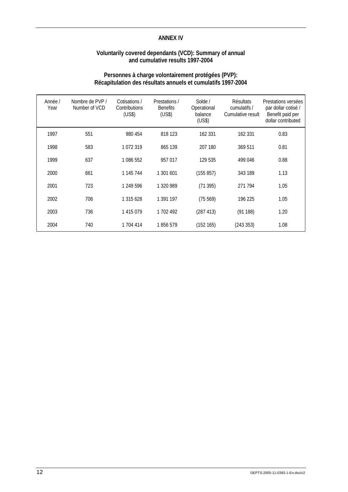## **ANNEX IV**

## **Voluntarily covered dependants (VCD): Summary of annual and cumulative results 1997-2004**

# **Personnes à charge volontairement protégées (PVP): Récapitulation des résultats annuels et cumulatifs 1997-2004**

| Année /<br>Year | Nombre de PVP /<br>Number of VCD | Cotisations /<br>Contributions<br>(US\$) | Prestations /<br><b>Benefits</b><br>(US\$) | Solde /<br>Operational<br>balance<br>(US\$) | Résultats<br>cumulatifs /<br>Cumulative result | Prestations versées<br>par dollar cotisé /<br>Benefit paid per<br>dollar contributed |
|-----------------|----------------------------------|------------------------------------------|--------------------------------------------|---------------------------------------------|------------------------------------------------|--------------------------------------------------------------------------------------|
| 1997            | 551                              | 980 454                                  | 818 123                                    | 162 331                                     | 162 331                                        | 0.83                                                                                 |
| 1998            | 583                              | 1072319                                  | 865 139                                    | 207 180                                     | 369 511                                        | 0.81                                                                                 |
| 1999            | 637                              | 1 086 552                                | 957 017                                    | 129 535                                     | 499 046                                        | 0.88                                                                                 |
| 2000            | 661                              | 1 145 744                                | 1 301 601                                  | (155 857)                                   | 343 189                                        | 1.13                                                                                 |
| 2001            | 723                              | 1 249 596                                | 1 320 989                                  | (71395)                                     | 271 794                                        | 1.05                                                                                 |
| 2002            | 706                              | 1 315 628                                | 1 391 197                                  | (75569)                                     | 196 225                                        | 1.05                                                                                 |
| 2003            | 736                              | 1 415 079                                | 1 702 492                                  | (287 413)                                   | (91188)                                        | 1.20                                                                                 |
| 2004            | 740                              | 1 704 414                                | 1856579                                    | (152165)                                    | (243 353)                                      | 1.08                                                                                 |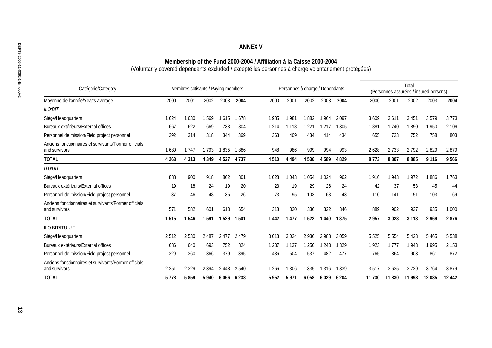| Catégorie/Category                                                     | Membres cotisants / Paying members |         |         |                   | Personnes à charge / Dependants |         |         |         | Total<br>(Personnes assurées / insured persons) |         |         |         |         |         |  |
|------------------------------------------------------------------------|------------------------------------|---------|---------|-------------------|---------------------------------|---------|---------|---------|-------------------------------------------------|---------|---------|---------|---------|---------|--|
| Moyenne de l'année/Year's average                                      | 2000                               | 2001    | 2002    | 2003              | 2004                            | 2000    | 2001    | 2002    | 2003                                            | 2004    | 2000    | 2001    | 2002    | 2003    |  |
| <b>ILO/BIT</b>                                                         |                                    |         |         |                   |                                 |         |         |         |                                                 |         |         |         |         |         |  |
| Siège/Headquarters                                                     | 1624                               | 1630    | 1569    | 1615              | 1678                            | 1985    | 1981    | 1882    | 1964                                            | 2097    | 3 6 0 9 | 3 6 1 1 | 3 4 5 1 | 3579    |  |
| Bureaux extérieurs/External offices                                    | 667                                | 622     | 669     | 733               | 804                             | 1 2 1 4 | 1 1 1 8 | 1 2 2 1 | 1 2 1 7                                         | 1 3 0 5 | 1881    | 1740    | 1890    | 1950    |  |
| Personnel de mission/Field project personnel                           | 292                                | 314     | 318     | 344               | 369                             | 363     | 409     | 434     | 414                                             | 434     | 655     | 723     | 752     | 758     |  |
| Anciens fonctionnaires et survivants/Former officials<br>and survivors | 1680                               | 1747    | 1793    | 1835              | 1886                            | 948     | 986     | 999     | 994                                             | 993     | 2628    | 2733    | 2 7 9 2 | 2829    |  |
| <b>TOTAL</b>                                                           | 4 2 6 3                            | 4 3 1 3 | 4 3 4 9 | 4527              | 4737                            | 4510    | 4 4 9 4 | 4536    | 4 589 4 829                                     |         | 8773    | 8807    | 8885    | 9 1 1 6 |  |
| <b>ITU/UIT</b>                                                         |                                    |         |         |                   |                                 |         |         |         |                                                 |         |         |         |         |         |  |
| Siège/Headquarters                                                     | 888                                | 900     | 918     | 862               | 801                             | 1028    | 1043    | 1054    | 1024                                            | 962     | 1916    | 1943    | 1972    | 1886    |  |
| Bureaux extérieurs/External offices                                    | 19                                 | 18      | 24      | 19                | 20                              | 23      | 19      | 29      | 26                                              | 24      | 42      | 37      | 53      | 45      |  |
| Personnel de mission/Field project personnel                           | 37                                 | 46      | 48      | 35                | 26                              | 73      | 95      | 103     | 68                                              | 43      | 110     | 141     | 151     | 103     |  |
| Anciens fonctionnaires et survivants/Former officials<br>and survivors | 571                                | 582     | 601     | 613               | 654                             | 318     | 320     | 336     | 322                                             | 346     | 889     | 902     | 937     | 935     |  |
| <b>TOTAL</b>                                                           | 1515                               | 1546    | 1591    | 1529              | 1501                            | 1 4 4 2 | 1477    | 1522    | 1440                                            | 1 3 7 5 | 2957    | 3023    | 3 1 1 3 | 2 9 6 9 |  |
| ILO-BIT/ITU-UIT                                                        |                                    |         |         |                   |                                 |         |         |         |                                                 |         |         |         |         |         |  |
| Siège/Headquarters                                                     | 2512                               | 2530    | 2 4 8 7 | 2477              | 2479                            | 3013    | 3024    | 2936    | 2988                                            | 3059    | 5525    | 5 5 5 4 | 5 4 2 3 | 5465    |  |
| Bureaux extérieurs/External offices                                    | 686                                | 640     | 693     | 752               | 824                             | 1 2 3 7 | 1 1 3 7 | 1 2 5 0 | 1 2 4 3                                         | 1 3 2 9 | 1923    | 1 7 7 7 | 1943    | 1995    |  |
| Personnel de mission/Field project personnel                           | 329                                | 360     | 366     | 379               | 395                             | 436     | 504     | 537     | 482                                             | 477     | 765     | 864     | 903     | 861     |  |
| Anciens fonctionnaires et survivants/Former officials<br>and survivors | 2 2 5 1                            | 2 3 2 9 | 2 3 9 4 | 2448              | 2 5 4 0                         | 1 2 6 6 | 1 3 0 6 | 1 3 3 5 | 1 3 1 6                                         | 1 3 3 9 | 3517    | 3635    | 3729    | 3764    |  |
| <b>TOTAL</b>                                                           | 5778                               | 5859    |         | 5 940 6 056 6 238 |                                 | 5952    | 5971    | 6058    | 6 0 29 6 204                                    |         | 11 730  | 11830   | 11 998  | 12 085  |  |